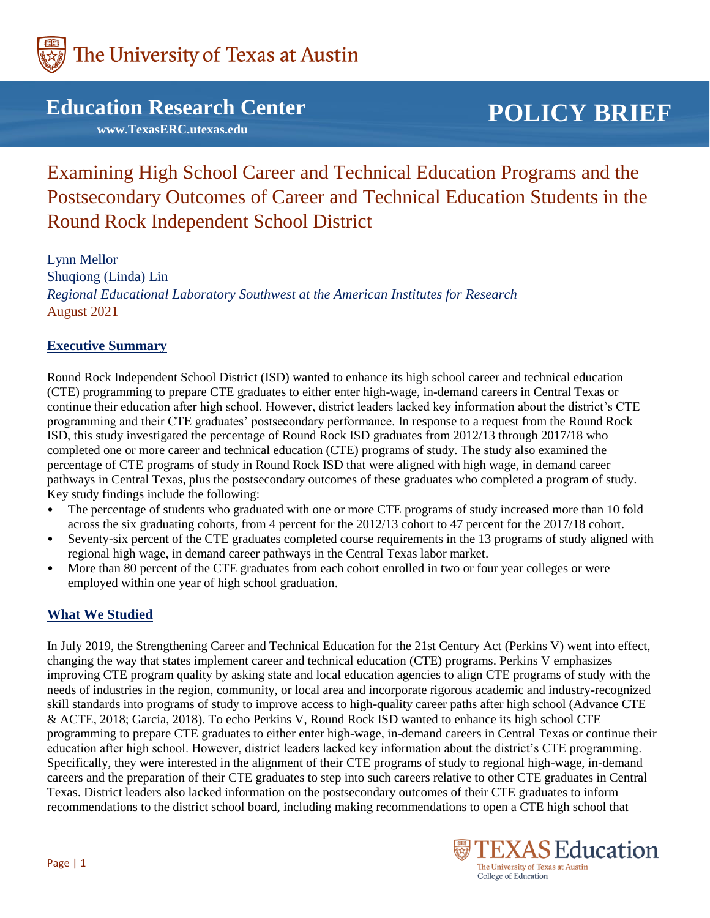

## **Education Research Center**

 **www.TexasERC.utexas.edu**

# **POLICY BRIEF**

Examining High School Career and Technical Education Programs and the Postsecondary Outcomes of Career and Technical Education Students in the Round Rock Independent School District

Lynn Mellor Shuqiong (Linda) Lin *Regional Educational Laboratory Southwest at the American Institutes for Research* August 2021

#### **Executive Summary**

Round Rock Independent School District (ISD) wanted to enhance its high school career and technical education (CTE) programming to prepare CTE graduates to either enter high-wage, in-demand careers in Central Texas or continue their education after high school. However, district leaders lacked key information about the district's CTE programming and their CTE graduates' postsecondary performance. In response to a request from the Round Rock ISD, this study investigated the percentage of Round Rock ISD graduates from 2012/13 through 2017/18 who completed one or more career and technical education (CTE) programs of study. The study also examined the percentage of CTE programs of study in Round Rock ISD that were aligned with high wage, in demand career pathways in Central Texas, plus the postsecondary outcomes of these graduates who completed a program of study. Key study findings include the following:

- The percentage of students who graduated with one or more CTE programs of study increased more than 10 fold across the six graduating cohorts, from 4 percent for the 2012/13 cohort to 47 percent for the 2017/18 cohort.
- Seventy-six percent of the CTE graduates completed course requirements in the 13 programs of study aligned with regional high wage, in demand career pathways in the Central Texas labor market.
- More than 80 percent of the CTE graduates from each cohort enrolled in two or four year colleges or were employed within one year of high school graduation.

## **What We Studied**

In July 2019, the Strengthening Career and Technical Education for the 21st Century Act (Perkins V) went into effect, changing the way that states implement career and technical education (CTE) programs. Perkins V emphasizes improving CTE program quality by asking state and local education agencies to align CTE programs of study with the needs of industries in the region, community, or local area and incorporate rigorous academic and industry-recognized skill standards into programs of study to improve access to high-quality career paths after high school (Advance CTE & ACTE, 2018; Garcia, 2018). To echo Perkins V, Round Rock ISD wanted to enhance its high school CTE programming to prepare CTE graduates to either enter high-wage, in-demand careers in Central Texas or continue their education after high school. However, district leaders lacked key information about the district's CTE programming. Specifically, they were interested in the alignment of their CTE programs of study to regional high-wage, in-demand careers and the preparation of their CTE graduates to step into such careers relative to other CTE graduates in Central Texas. District leaders also lacked information on the postsecondary outcomes of their CTE graduates to inform recommendations to the district school board, including making recommendations to open a CTE high school that

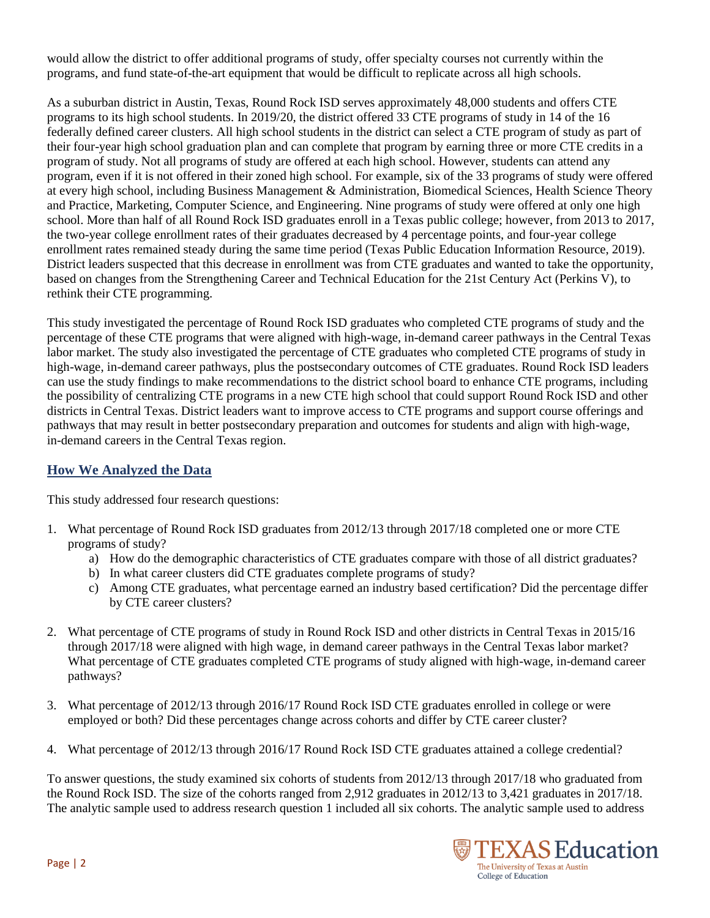would allow the district to offer additional programs of study, offer specialty courses not currently within the programs, and fund state-of-the-art equipment that would be difficult to replicate across all high schools.

As a suburban district in Austin, Texas, Round Rock ISD serves approximately 48,000 students and offers CTE programs to its high school students. In 2019/20, the district offered 33 CTE programs of study in 14 of the 16 federally defined career clusters. All high school students in the district can select a CTE program of study as part of their four-year high school graduation plan and can complete that program by earning three or more CTE credits in a program of study. Not all programs of study are offered at each high school. However, students can attend any program, even if it is not offered in their zoned high school. For example, six of the 33 programs of study were offered at every high school, including Business Management & Administration, Biomedical Sciences, Health Science Theory and Practice, Marketing, Computer Science, and Engineering. Nine programs of study were offered at only one high school. More than half of all Round Rock ISD graduates enroll in a Texas public college; however, from 2013 to 2017, the two-year college enrollment rates of their graduates decreased by 4 percentage points, and four-year college enrollment rates remained steady during the same time period (Texas Public Education Information Resource, 2019). District leaders suspected that this decrease in enrollment was from CTE graduates and wanted to take the opportunity, based on changes from the Strengthening Career and Technical Education for the 21st Century Act (Perkins V), to rethink their CTE programming.

This study investigated the percentage of Round Rock ISD graduates who completed CTE programs of study and the percentage of these CTE programs that were aligned with high-wage, in-demand career pathways in the Central Texas labor market. The study also investigated the percentage of CTE graduates who completed CTE programs of study in high-wage, in-demand career pathways, plus the postsecondary outcomes of CTE graduates. Round Rock ISD leaders can use the study findings to make recommendations to the district school board to enhance CTE programs, including the possibility of centralizing CTE programs in a new CTE high school that could support Round Rock ISD and other districts in Central Texas. District leaders want to improve access to CTE programs and support course offerings and pathways that may result in better postsecondary preparation and outcomes for students and align with high-wage, in-demand careers in the Central Texas region.

## **How We Analyzed the Data**

This study addressed four research questions:

- 1. What percentage of Round Rock ISD graduates from 2012/13 through 2017/18 completed one or more CTE programs of study?
	- a) How do the demographic characteristics of CTE graduates compare with those of all district graduates?
	- b) In what career clusters did CTE graduates complete programs of study?
	- c) Among CTE graduates, what percentage earned an industry based certification? Did the percentage differ by CTE career clusters?
- 2. What percentage of CTE programs of study in Round Rock ISD and other districts in Central Texas in 2015/16 through 2017/18 were aligned with high wage, in demand career pathways in the Central Texas labor market? What percentage of CTE graduates completed CTE programs of study aligned with high-wage, in-demand career pathways?
- 3. What percentage of 2012/13 through 2016/17 Round Rock ISD CTE graduates enrolled in college or were employed or both? Did these percentages change across cohorts and differ by CTE career cluster?
- 4. What percentage of 2012/13 through 2016/17 Round Rock ISD CTE graduates attained a college credential?

To answer questions, the study examined six cohorts of students from 2012/13 through 2017/18 who graduated from the Round Rock ISD. The size of the cohorts ranged from 2,912 graduates in 2012/13 to 3,421 graduates in 2017/18. The analytic sample used to address research question 1 included all six cohorts. The analytic sample used to address

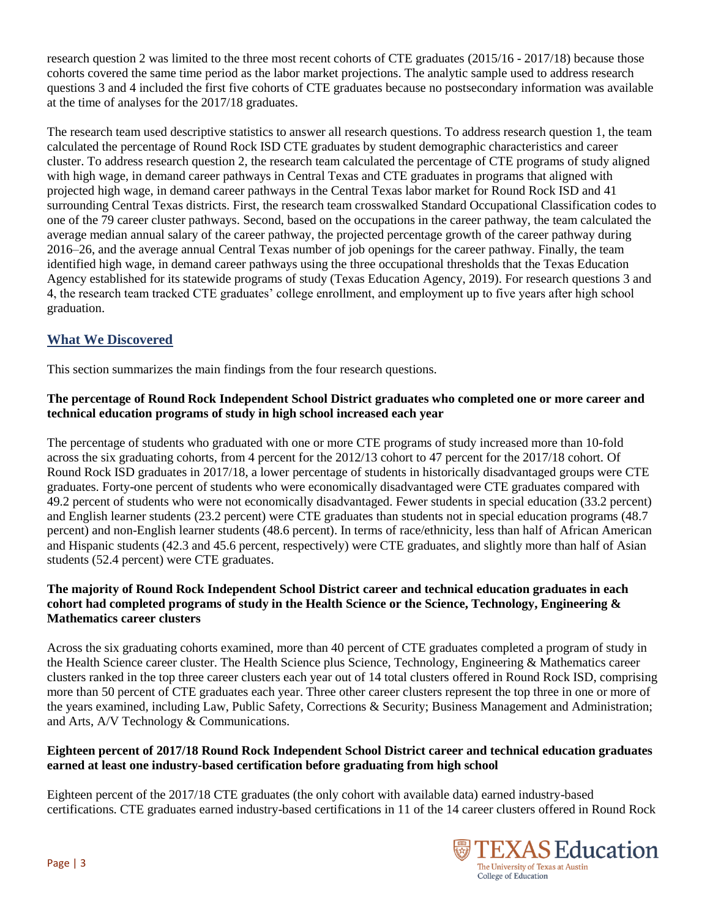research question 2 was limited to the three most recent cohorts of CTE graduates (2015/16 - 2017/18) because those cohorts covered the same time period as the labor market projections. The analytic sample used to address research questions 3 and 4 included the first five cohorts of CTE graduates because no postsecondary information was available at the time of analyses for the 2017/18 graduates.

The research team used descriptive statistics to answer all research questions. To address research question 1, the team calculated the percentage of Round Rock ISD CTE graduates by student demographic characteristics and career cluster. To address research question 2, the research team calculated the percentage of CTE programs of study aligned with high wage, in demand career pathways in Central Texas and CTE graduates in programs that aligned with projected high wage, in demand career pathways in the Central Texas labor market for Round Rock ISD and 41 surrounding Central Texas districts. First, the research team crosswalked Standard Occupational Classification codes to one of the 79 career cluster pathways. Second, based on the occupations in the career pathway, the team calculated the average median annual salary of the career pathway, the projected percentage growth of the career pathway during 2016–26, and the average annual Central Texas number of job openings for the career pathway. Finally, the team identified high wage, in demand career pathways using the three occupational thresholds that the Texas Education Agency established for its statewide programs of study (Texas Education Agency, 2019). For research questions 3 and 4, the research team tracked CTE graduates' college enrollment, and employment up to five years after high school graduation.

## **What We Discovered**

This section summarizes the main findings from the four research questions.

#### **The percentage of Round Rock Independent School District graduates who completed one or more career and technical education programs of study in high school increased each year**

The percentage of students who graduated with one or more CTE programs of study increased more than 10-fold across the six graduating cohorts, from 4 percent for the 2012/13 cohort to 47 percent for the 2017/18 cohort. Of Round Rock ISD graduates in 2017/18, a lower percentage of students in historically disadvantaged groups were CTE graduates. Forty-one percent of students who were economically disadvantaged were CTE graduates compared with 49.2 percent of students who were not economically disadvantaged. Fewer students in special education (33.2 percent) and English learner students (23.2 percent) were CTE graduates than students not in special education programs (48.7 percent) and non-English learner students (48.6 percent). In terms of race/ethnicity, less than half of African American and Hispanic students (42.3 and 45.6 percent, respectively) were CTE graduates, and slightly more than half of Asian students (52.4 percent) were CTE graduates.

#### **The majority of Round Rock Independent School District career and technical education graduates in each cohort had completed programs of study in the Health Science or the Science, Technology, Engineering & Mathematics career clusters**

Across the six graduating cohorts examined, more than 40 percent of CTE graduates completed a program of study in the Health Science career cluster. The Health Science plus Science, Technology, Engineering & Mathematics career clusters ranked in the top three career clusters each year out of 14 total clusters offered in Round Rock ISD, comprising more than 50 percent of CTE graduates each year. Three other career clusters represent the top three in one or more of the years examined, including Law, Public Safety, Corrections & Security; Business Management and Administration; and Arts, A/V Technology & Communications.

#### **Eighteen percent of 2017/18 Round Rock Independent School District career and technical education graduates earned at least one industry-based certification before graduating from high school**

Eighteen percent of the 2017/18 CTE graduates (the only cohort with available data) earned industry-based certifications. CTE graduates earned industry-based certifications in 11 of the 14 career clusters offered in Round Rock

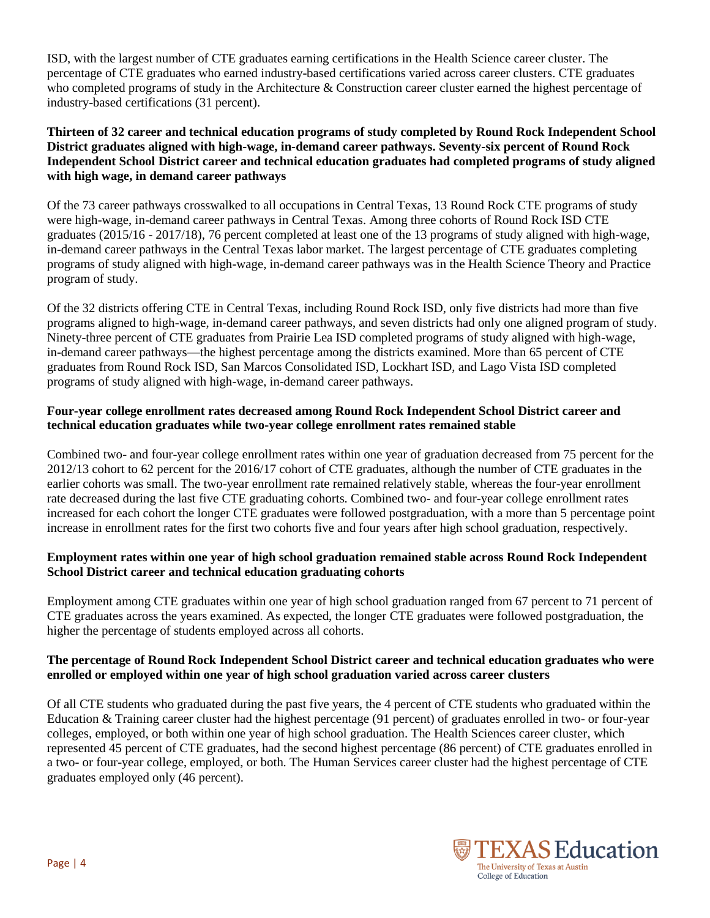ISD, with the largest number of CTE graduates earning certifications in the Health Science career cluster. The percentage of CTE graduates who earned industry-based certifications varied across career clusters. CTE graduates who completed programs of study in the Architecture & Construction career cluster earned the highest percentage of industry-based certifications (31 percent).

#### **Thirteen of 32 career and technical education programs of study completed by Round Rock Independent School District graduates aligned with high-wage, in-demand career pathways. Seventy-six percent of Round Rock Independent School District career and technical education graduates had completed programs of study aligned with high wage, in demand career pathways**

Of the 73 career pathways crosswalked to all occupations in Central Texas, 13 Round Rock CTE programs of study were high-wage, in-demand career pathways in Central Texas. Among three cohorts of Round Rock ISD CTE graduates (2015/16 - 2017/18), 76 percent completed at least one of the 13 programs of study aligned with high-wage, in-demand career pathways in the Central Texas labor market. The largest percentage of CTE graduates completing programs of study aligned with high-wage, in-demand career pathways was in the Health Science Theory and Practice program of study.

Of the 32 districts offering CTE in Central Texas, including Round Rock ISD, only five districts had more than five programs aligned to high-wage, in-demand career pathways, and seven districts had only one aligned program of study. Ninety-three percent of CTE graduates from Prairie Lea ISD completed programs of study aligned with high-wage, in-demand career pathways—the highest percentage among the districts examined. More than 65 percent of CTE graduates from Round Rock ISD, San Marcos Consolidated ISD, Lockhart ISD, and Lago Vista ISD completed programs of study aligned with high-wage, in-demand career pathways.

#### **Four-year college enrollment rates decreased among Round Rock Independent School District career and technical education graduates while two-year college enrollment rates remained stable**

Combined two- and four-year college enrollment rates within one year of graduation decreased from 75 percent for the 2012/13 cohort to 62 percent for the 2016/17 cohort of CTE graduates, although the number of CTE graduates in the earlier cohorts was small. The two-year enrollment rate remained relatively stable, whereas the four-year enrollment rate decreased during the last five CTE graduating cohorts. Combined two- and four-year college enrollment rates increased for each cohort the longer CTE graduates were followed postgraduation, with a more than 5 percentage point increase in enrollment rates for the first two cohorts five and four years after high school graduation, respectively.

#### **Employment rates within one year of high school graduation remained stable across Round Rock Independent School District career and technical education graduating cohorts**

Employment among CTE graduates within one year of high school graduation ranged from 67 percent to 71 percent of CTE graduates across the years examined. As expected, the longer CTE graduates were followed postgraduation, the higher the percentage of students employed across all cohorts.

#### **The percentage of Round Rock Independent School District career and technical education graduates who were enrolled or employed within one year of high school graduation varied across career clusters**

Of all CTE students who graduated during the past five years, the 4 percent of CTE students who graduated within the Education & Training career cluster had the highest percentage (91 percent) of graduates enrolled in two- or four-year colleges, employed, or both within one year of high school graduation. The Health Sciences career cluster, which represented 45 percent of CTE graduates, had the second highest percentage (86 percent) of CTE graduates enrolled in a two- or four-year college, employed, or both. The Human Services career cluster had the highest percentage of CTE graduates employed only (46 percent).

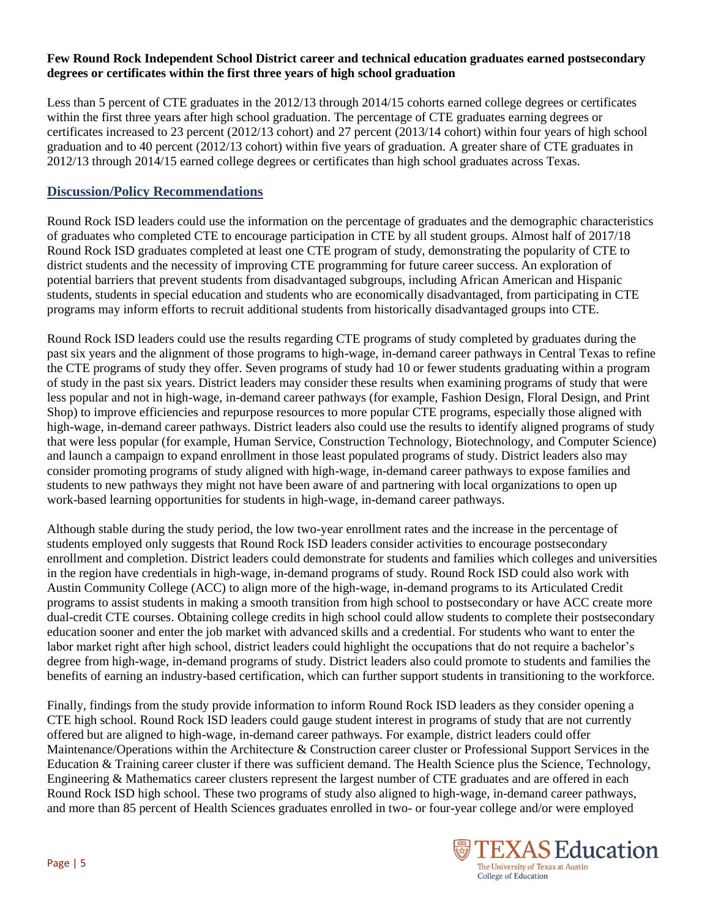#### **Few Round Rock Independent School District career and technical education graduates earned postsecondary degrees or certificates within the first three years of high school graduation**

Less than 5 percent of CTE graduates in the 2012/13 through 2014/15 cohorts earned college degrees or certificates within the first three years after high school graduation. The percentage of CTE graduates earning degrees or certificates increased to 23 percent (2012/13 cohort) and 27 percent (2013/14 cohort) within four years of high school graduation and to 40 percent (2012/13 cohort) within five years of graduation. A greater share of CTE graduates in 2012/13 through 2014/15 earned college degrees or certificates than high school graduates across Texas.

#### **Discussion/Policy Recommendations**

Round Rock ISD leaders could use the information on the percentage of graduates and the demographic characteristics of graduates who completed CTE to encourage participation in CTE by all student groups. Almost half of 2017/18 Round Rock ISD graduates completed at least one CTE program of study, demonstrating the popularity of CTE to district students and the necessity of improving CTE programming for future career success. An exploration of potential barriers that prevent students from disadvantaged subgroups, including African American and Hispanic students, students in special education and students who are economically disadvantaged, from participating in CTE programs may inform efforts to recruit additional students from historically disadvantaged groups into CTE.

Round Rock ISD leaders could use the results regarding CTE programs of study completed by graduates during the past six years and the alignment of those programs to high-wage, in-demand career pathways in Central Texas to refine the CTE programs of study they offer. Seven programs of study had 10 or fewer students graduating within a program of study in the past six years. District leaders may consider these results when examining programs of study that were less popular and not in high-wage, in-demand career pathways (for example, Fashion Design, Floral Design, and Print Shop) to improve efficiencies and repurpose resources to more popular CTE programs, especially those aligned with high-wage, in-demand career pathways. District leaders also could use the results to identify aligned programs of study that were less popular (for example, Human Service, Construction Technology, Biotechnology, and Computer Science) and launch a campaign to expand enrollment in those least populated programs of study. District leaders also may consider promoting programs of study aligned with high-wage, in-demand career pathways to expose families and students to new pathways they might not have been aware of and partnering with local organizations to open up work-based learning opportunities for students in high-wage, in-demand career pathways.

Although stable during the study period, the low two-year enrollment rates and the increase in the percentage of students employed only suggests that Round Rock ISD leaders consider activities to encourage postsecondary enrollment and completion. District leaders could demonstrate for students and families which colleges and universities in the region have credentials in high-wage, in-demand programs of study. Round Rock ISD could also work with Austin Community College (ACC) to align more of the high-wage, in-demand programs to its Articulated Credit programs to assist students in making a smooth transition from high school to postsecondary or have ACC create more dual-credit CTE courses. Obtaining college credits in high school could allow students to complete their postsecondary education sooner and enter the job market with advanced skills and a credential. For students who want to enter the labor market right after high school, district leaders could highlight the occupations that do not require a bachelor's degree from high-wage, in-demand programs of study. District leaders also could promote to students and families the benefits of earning an industry-based certification, which can further support students in transitioning to the workforce.

Finally, findings from the study provide information to inform Round Rock ISD leaders as they consider opening a CTE high school. Round Rock ISD leaders could gauge student interest in programs of study that are not currently offered but are aligned to high-wage, in-demand career pathways. For example, district leaders could offer Maintenance/Operations within the Architecture & Construction career cluster or Professional Support Services in the Education & Training career cluster if there was sufficient demand. The Health Science plus the Science, Technology, Engineering & Mathematics career clusters represent the largest number of CTE graduates and are offered in each Round Rock ISD high school. These two programs of study also aligned to high-wage, in-demand career pathways, and more than 85 percent of Health Sciences graduates enrolled in two- or four-year college and/or were employed